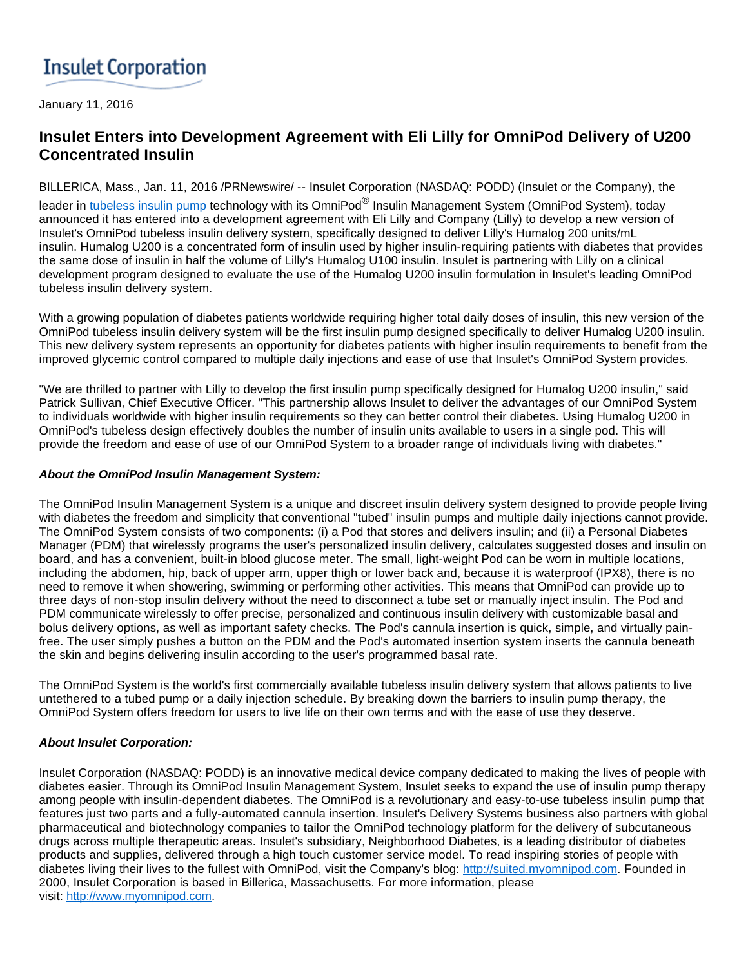# **Insulet Corporation**

January 11, 2016

# **Insulet Enters into Development Agreement with Eli Lilly for OmniPod Delivery of U200 Concentrated Insulin**

BILLERICA, Mass., Jan. 11, 2016 /PRNewswire/ -- Insulet Corporation (NASDAQ: PODD) (Insulet or the Company), the

leader in <u>tubeless insulin pump</u> technology with its OmniPod<sup>®</sup> Insulin Management System (OmniPod System), today announced it has entered into a development agreement with Eli Lilly and Company (Lilly) to develop a new version of Insulet's OmniPod tubeless insulin delivery system, specifically designed to deliver Lilly's Humalog 200 units/mL insulin. Humalog U200 is a concentrated form of insulin used by higher insulin-requiring patients with diabetes that provides the same dose of insulin in half the volume of Lilly's Humalog U100 insulin. Insulet is partnering with Lilly on a clinical development program designed to evaluate the use of the Humalog U200 insulin formulation in Insulet's leading OmniPod tubeless insulin delivery system.

With a growing population of diabetes patients worldwide requiring higher total daily doses of insulin, this new version of the OmniPod tubeless insulin delivery system will be the first insulin pump designed specifically to deliver Humalog U200 insulin. This new delivery system represents an opportunity for diabetes patients with higher insulin requirements to benefit from the improved glycemic control compared to multiple daily injections and ease of use that Insulet's OmniPod System provides.

"We are thrilled to partner with Lilly to develop the first insulin pump specifically designed for Humalog U200 insulin," said Patrick Sullivan, Chief Executive Officer. "This partnership allows Insulet to deliver the advantages of our OmniPod System to individuals worldwide with higher insulin requirements so they can better control their diabetes. Using Humalog U200 in OmniPod's tubeless design effectively doubles the number of insulin units available to users in a single pod. This will provide the freedom and ease of use of our OmniPod System to a broader range of individuals living with diabetes."

#### **About the OmniPod Insulin Management System:**

The OmniPod Insulin Management System is a unique and discreet insulin delivery system designed to provide people living with diabetes the freedom and simplicity that conventional "tubed" insulin pumps and multiple daily injections cannot provide. The OmniPod System consists of two components: (i) a Pod that stores and delivers insulin; and (ii) a Personal Diabetes Manager (PDM) that wirelessly programs the user's personalized insulin delivery, calculates suggested doses and insulin on board, and has a convenient, built-in blood glucose meter. The small, light-weight Pod can be worn in multiple locations, including the abdomen, hip, back of upper arm, upper thigh or lower back and, because it is waterproof (IPX8), there is no need to remove it when showering, swimming or performing other activities. This means that OmniPod can provide up to three days of non-stop insulin delivery without the need to disconnect a tube set or manually inject insulin. The Pod and PDM communicate wirelessly to offer precise, personalized and continuous insulin delivery with customizable basal and bolus delivery options, as well as important safety checks. The Pod's cannula insertion is quick, simple, and virtually painfree. The user simply pushes a button on the PDM and the Pod's automated insertion system inserts the cannula beneath the skin and begins delivering insulin according to the user's programmed basal rate.

The OmniPod System is the world's first commercially available tubeless insulin delivery system that allows patients to live untethered to a tubed pump or a daily injection schedule. By breaking down the barriers to insulin pump therapy, the OmniPod System offers freedom for users to live life on their own terms and with the ease of use they deserve.

# **About Insulet Corporation:**

Insulet Corporation (NASDAQ: PODD) is an innovative medical device company dedicated to making the lives of people with diabetes easier. Through its OmniPod Insulin Management System, Insulet seeks to expand the use of insulin pump therapy among people with insulin-dependent diabetes. The OmniPod is a revolutionary and easy-to-use tubeless insulin pump that features just two parts and a fully-automated cannula insertion. Insulet's Delivery Systems business also partners with global pharmaceutical and biotechnology companies to tailor the OmniPod technology platform for the delivery of subcutaneous drugs across multiple therapeutic areas. Insulet's subsidiary, Neighborhood Diabetes, is a leading distributor of diabetes products and supplies, delivered through a high touch customer service model. To read inspiring stories of people with diabetes living their lives to the fullest with OmniPod, visit the Company's blog: [http://suited.myomnipod.com.](http://suited.myomnipod.com/) Founded in 2000, Insulet Corporation is based in Billerica, Massachusetts. For more information, please visit: [http://www.myomnipod.com](http://www.myomnipod.com/).